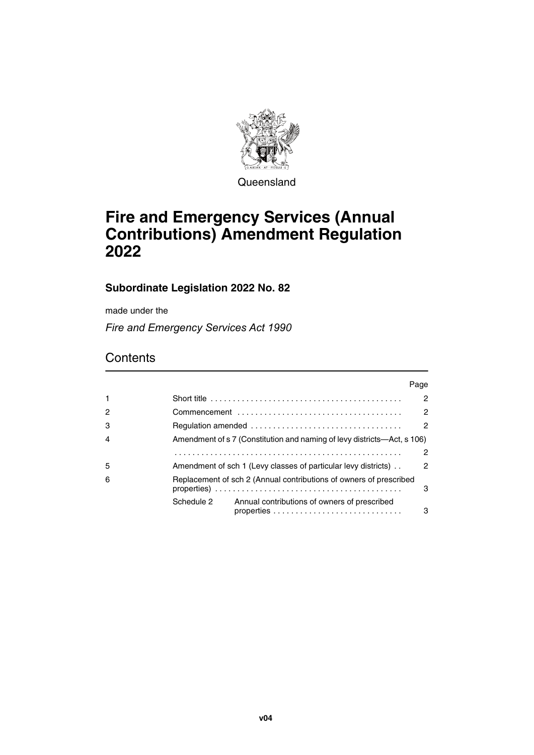

**Queensland** 

# **Fire and Emergency Services (Annual Contributions) Amendment Regulation 2022**

### **Subordinate Legislation 2022 No. 82**

made under the

*Fire and Emergency Services Act 1990*

## **Contents**

|              |            |                                                                                                          | Page           |
|--------------|------------|----------------------------------------------------------------------------------------------------------|----------------|
| $\mathbf{1}$ |            | Short title $\ldots \ldots \ldots \ldots \ldots \ldots \ldots \ldots \ldots \ldots \ldots \ldots \ldots$ | $\mathcal{P}$  |
| 2            |            |                                                                                                          | 2              |
| 3            |            |                                                                                                          | $\overline{2}$ |
| 4            |            | Amendment of s 7 (Constitution and naming of levy districts—Act, s 106)                                  |                |
|              |            |                                                                                                          | 2              |
| 5            |            | Amendment of sch 1 (Levy classes of particular levy districts).                                          | 2              |
| 6            |            | Replacement of sch 2 (Annual contributions of owners of prescribed                                       | 3              |
|              | Schedule 2 | Annual contributions of owners of prescribed                                                             | 3              |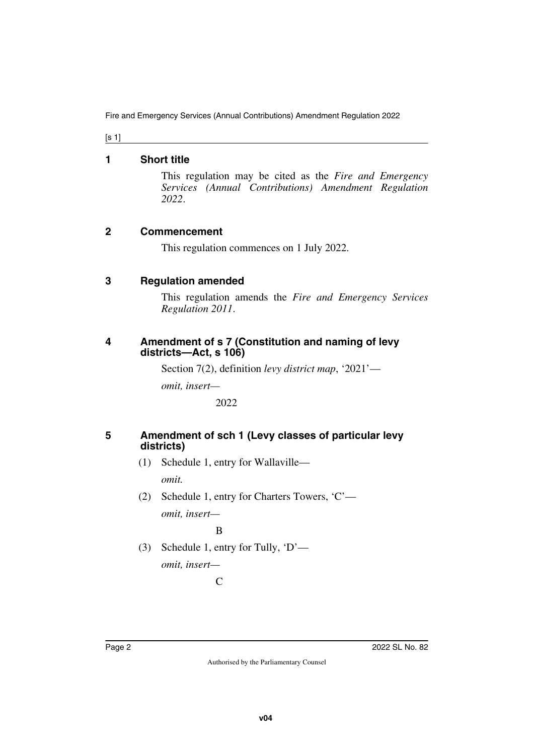[s 1]

### <span id="page-1-0"></span>**1 Short title**

<span id="page-1-1"></span>This regulation may be cited as the *Fire and Emergency Services (Annual Contributions) Amendment Regulation 2022*.

### <span id="page-1-2"></span>**2 Commencement**

<span id="page-1-3"></span>This regulation commences on 1 July 2022.

### <span id="page-1-4"></span>**3 Regulation amended**

<span id="page-1-5"></span>This regulation amends the *Fire and Emergency Services Regulation 2011*.

### <span id="page-1-7"></span><span id="page-1-6"></span>**4 Amendment of s 7 (Constitution and naming of levy districts—Act, s 106)**

Section 7(2), definition *levy district map*, '2021'—

*omit, insert—*

2022

### <span id="page-1-8"></span>**5 Amendment of sch 1 (Levy classes of particular levy districts)**

- <span id="page-1-9"></span>(1) Schedule 1, entry for Wallaville *omit.*
- (2) Schedule 1, entry for Charters Towers, 'C' *omit, insert—*

B

(3) Schedule 1, entry for Tully, 'D' *omit, insert—*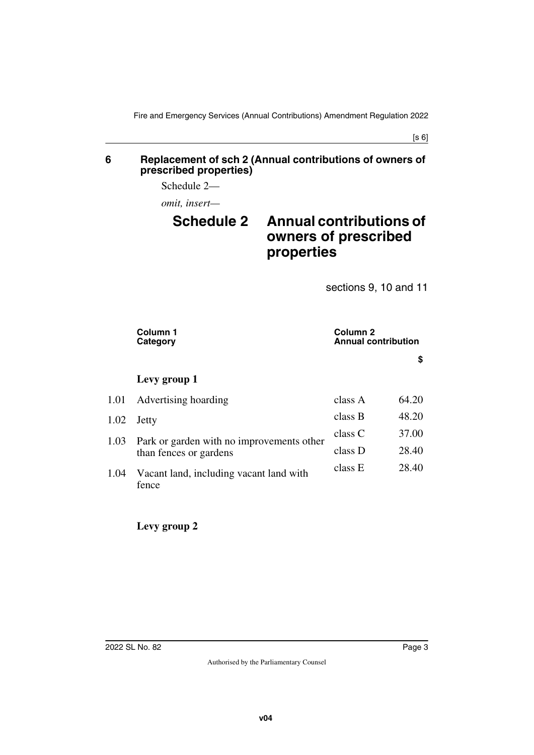#### <span id="page-2-1"></span><span id="page-2-0"></span>**6 Replacement of sch 2 (Annual contributions of owners of prescribed properties)**

Schedule 2—

*omit, insert—*

# <span id="page-2-3"></span><span id="page-2-2"></span>**Schedule 2 Annual contributions of owners of prescribed properties**

sections 9, 10 and 11

| Column 1<br>Category                             | Column <sub>2</sub><br><b>Annual contribution</b> |       |
|--------------------------------------------------|---------------------------------------------------|-------|
|                                                  |                                                   | \$    |
| Levy group 1                                     |                                                   |       |
| Advertising hoarding                             | class A                                           | 64.20 |
| Jetty                                            | class B                                           | 48.20 |
|                                                  | class C                                           | 37.00 |
| than fences or gardens                           | class D                                           | 28.40 |
| Vacant land, including vacant land with<br>fence | class E                                           | 28.40 |
|                                                  | Park or garden with no improvements other         |       |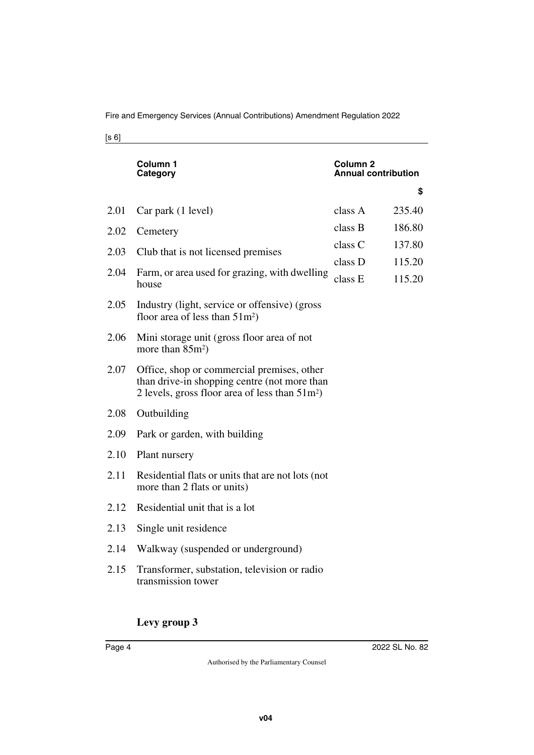Fire and Emergency Services (Annual Contributions) Amendment Regulation 2022

[s 6]

|      | Column 1<br>Category                                                                                                                            | Column <sub>2</sub><br><b>Annual contribution</b> |                  |
|------|-------------------------------------------------------------------------------------------------------------------------------------------------|---------------------------------------------------|------------------|
|      |                                                                                                                                                 |                                                   | \$               |
| 2.01 | Car park (1 level)                                                                                                                              | class A                                           | 235.40           |
| 2.02 | Cemetery                                                                                                                                        | class B                                           | 186.80           |
| 2.03 | Club that is not licensed premises                                                                                                              | class C                                           | 137.80           |
| 2.04 | Farm, or area used for grazing, with dwelling<br>house                                                                                          | class D<br>class E                                | 115.20<br>115.20 |
| 2.05 | Industry (light, service or offensive) (gross)<br>floor area of less than $51m^2$ )                                                             |                                                   |                  |
| 2.06 | Mini storage unit (gross floor area of not<br>more than $85m^2$ )                                                                               |                                                   |                  |
| 2.07 | Office, shop or commercial premises, other<br>than drive-in shopping centre (not more than<br>2 levels, gross floor area of less than $51m^2$ ) |                                                   |                  |
| 2.08 | Outbuilding                                                                                                                                     |                                                   |                  |
| 2.09 | Park or garden, with building                                                                                                                   |                                                   |                  |
| 2.10 | Plant nursery                                                                                                                                   |                                                   |                  |
| 2.11 | Residential flats or units that are not lots (not<br>more than 2 flats or units)                                                                |                                                   |                  |
| 2.12 | Residential unit that is a lot                                                                                                                  |                                                   |                  |
| 2.13 | Single unit residence                                                                                                                           |                                                   |                  |
| 2.14 | Walkway (suspended or underground)                                                                                                              |                                                   |                  |
| 2.15 | Transformer, substation, television or radio<br>transmission tower                                                                              |                                                   |                  |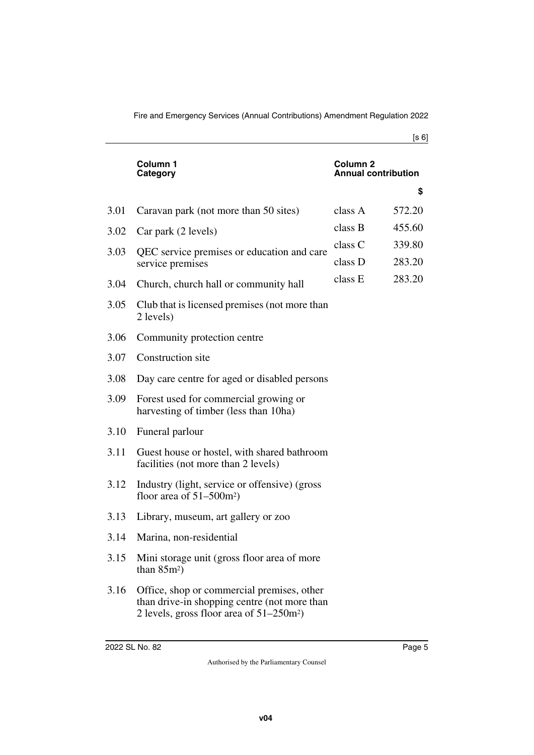|      | Column 1<br>Category                                                                                                                                  | Column 2<br><b>Annual contribution</b> |                  |
|------|-------------------------------------------------------------------------------------------------------------------------------------------------------|----------------------------------------|------------------|
|      |                                                                                                                                                       |                                        | \$               |
| 3.01 | Caravan park (not more than 50 sites)                                                                                                                 | class A                                | 572.20           |
| 3.02 | Car park (2 levels)                                                                                                                                   | class B                                | 455.60           |
| 3.03 | QEC service premises or education and care<br>service premises                                                                                        | class C<br>class D                     | 339.80<br>283.20 |
| 3.04 | Church, church hall or community hall                                                                                                                 | class E                                | 283.20           |
| 3.05 | Club that is licensed premises (not more than<br>2 levels)                                                                                            |                                        |                  |
| 3.06 | Community protection centre                                                                                                                           |                                        |                  |
| 3.07 | Construction site                                                                                                                                     |                                        |                  |
| 3.08 | Day care centre for aged or disabled persons                                                                                                          |                                        |                  |
| 3.09 | Forest used for commercial growing or<br>harvesting of timber (less than 10ha)                                                                        |                                        |                  |
| 3.10 | Funeral parlour                                                                                                                                       |                                        |                  |
| 3.11 | Guest house or hostel, with shared bathroom<br>facilities (not more than 2 levels)                                                                    |                                        |                  |
| 3.12 | Industry (light, service or offensive) (gross)<br>floor area of $51-500$ m <sup>2</sup> )                                                             |                                        |                  |
| 3.13 | Library, museum, art gallery or zoo                                                                                                                   |                                        |                  |
| 3.14 | Marina, non-residential                                                                                                                               |                                        |                  |
| 3.15 | Mini storage unit (gross floor area of more<br>than $85m^2$ )                                                                                         |                                        |                  |
| 3.16 | Office, shop or commercial premises, other<br>than drive-in shopping centre (not more than<br>2 levels, gross floor area of $51-250$ m <sup>2</sup> ) |                                        |                  |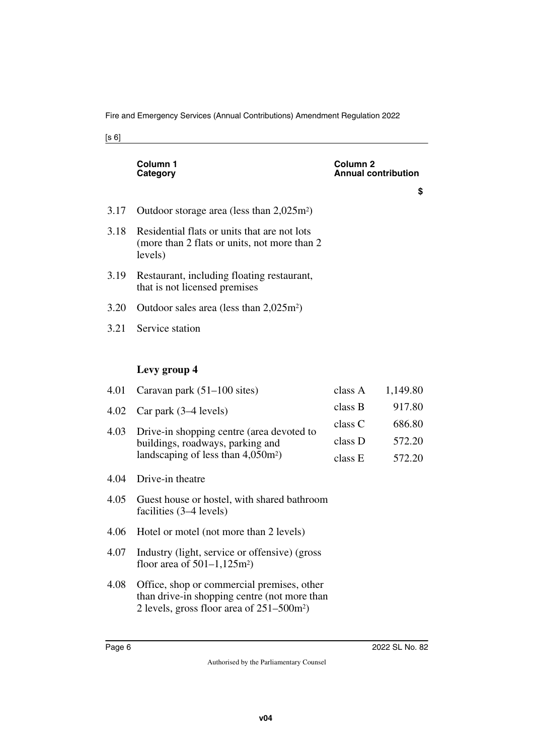|      | Column 1<br>Category                                                                                     | <b>Column 2</b><br><b>Annual contribution</b> |          |
|------|----------------------------------------------------------------------------------------------------------|-----------------------------------------------|----------|
|      |                                                                                                          |                                               | \$       |
| 3.17 | Outdoor storage area (less than $2,025m^2$ )                                                             |                                               |          |
| 3.18 | Residential flats or units that are not lots<br>(more than 2 flats or units, not more than 2)<br>levels) |                                               |          |
| 3.19 | Restaurant, including floating restaurant,<br>that is not licensed premises                              |                                               |          |
| 3.20 | Outdoor sales area (less than $2,025m^2$ )                                                               |                                               |          |
| 3.21 | Service station                                                                                          |                                               |          |
|      |                                                                                                          |                                               |          |
|      | Levy group 4                                                                                             |                                               |          |
| 4.01 | Caravan park $(51-100$ sites)                                                                            | class A                                       | 1,149.80 |
| 4.02 | Car park $(3-4$ levels)                                                                                  | class B                                       | 917.80   |
| 4.03 | Drive-in shopping centre (area devoted to                                                                | class C                                       | 686.80   |
|      | buildings, roadways, parking and                                                                         | class D                                       | 572.20   |
|      | landscaping of less than $4,050m^2$ )                                                                    | class E                                       | 572.20   |

- 4.04 Drive-in theatre
- 4.05 Guest house or hostel, with shared bathroom facilities (3–4 levels)
- 4.06 Hotel or motel (not more than 2 levels)
- 4.07 Industry (light, service or offensive) (gross floor area of  $501-1,125m^2$ )
- 4.08 Office, shop or commercial premises, other than drive-in shopping centre (not more than 2 levels, gross floor area of 251–500m2)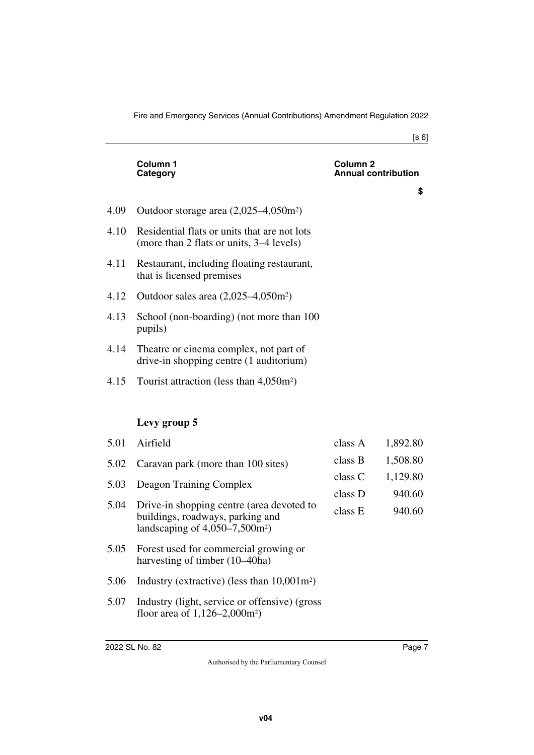|      | Column 1<br>Category                                                                     | Column <sub>2</sub><br><b>Annual contribution</b> |          |
|------|------------------------------------------------------------------------------------------|---------------------------------------------------|----------|
|      |                                                                                          |                                                   | \$       |
| 4.09 | Outdoor storage area $(2,025-4,050m^2)$                                                  |                                                   |          |
| 4.10 | Residential flats or units that are not lots<br>(more than 2 flats or units, 3–4 levels) |                                                   |          |
| 4.11 | Restaurant, including floating restaurant,<br>that is licensed premises                  |                                                   |          |
| 4.12 | Outdoor sales area $(2,025-4,050m^2)$                                                    |                                                   |          |
| 4.13 | School (non-boarding) (not more than 100<br>pupils)                                      |                                                   |          |
| 4.14 | Theatre or cinema complex, not part of<br>drive-in shopping centre (1 auditorium)        |                                                   |          |
| 4.15 | Tourist attraction (less than $4,050m^2$ )                                               |                                                   |          |
|      |                                                                                          |                                                   |          |
|      | Levy group 5                                                                             |                                                   |          |
| 5.01 | Airfield                                                                                 | class A                                           | 1,892.80 |
| 5.02 | Caravan park (more than 100 sites)                                                       | class B                                           | 1,508.80 |
| 5.03 | Deagon Training Complex                                                                  | class C                                           | 1,129.80 |
|      |                                                                                          |                                                   |          |

- 5.04 Drive-in shopping centre (area devoted to buildings, roadways, parking and landscaping of  $4,050-7,500$ m<sup>2</sup>)
- 5.05 Forest used for commercial growing or harvesting of timber (10–40ha)
- 5.06 Industry (extractive) (less than 10,001m2)
- 5.07 Industry (light, service or offensive) (gross floor area of 1,126–2,000m2)

940.60 940.60

class D class E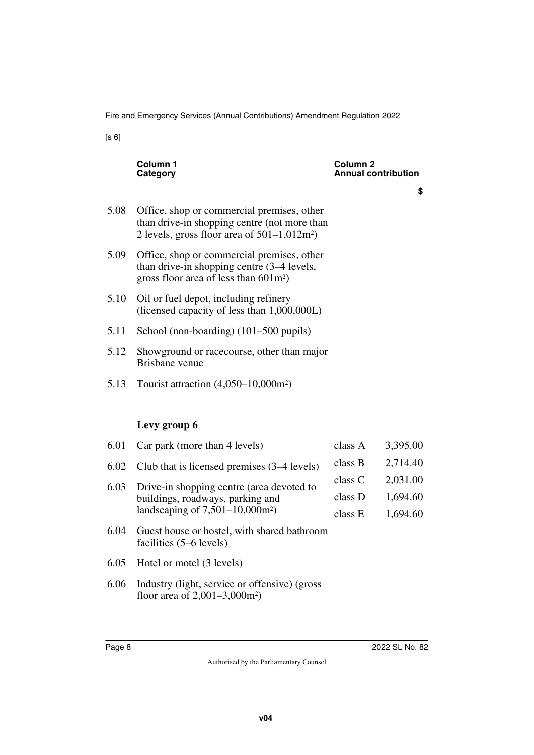|      | Column 1<br><b>Category</b>                                                                                                                  | Column <sub>2</sub><br>nnual contribution |          |
|------|----------------------------------------------------------------------------------------------------------------------------------------------|-------------------------------------------|----------|
|      |                                                                                                                                              |                                           | \$       |
| 5.08 | Office, shop or commercial premises, other<br>than drive-in shopping centre (not more than<br>2 levels, gross floor area of $501-1,012m^2$ ) |                                           |          |
| 5.09 | Office, shop or commercial premises, other<br>than drive-in shopping centre (3–4 levels,<br>gross floor area of less than $601 \text{m}^2$ ) |                                           |          |
| 5.10 | Oil or fuel depot, including refinery<br>(licensed capacity of less than 1,000,000L)                                                         |                                           |          |
| 5.11 | School (non-boarding) (101–500 pupils)                                                                                                       |                                           |          |
| 5.12 | Showground or racecourse, other than major<br>Brisbane venue                                                                                 |                                           |          |
| 5.13 | Tourist attraction $(4,050-10,000m^2)$                                                                                                       |                                           |          |
|      |                                                                                                                                              |                                           |          |
|      | Levy group 6                                                                                                                                 |                                           |          |
| 6.01 | Car park (more than 4 levels)                                                                                                                | class A                                   | 3,395.00 |
| 6.02 | Club that is licensed premises (3–4 levels)                                                                                                  | class B                                   | 2,714.40 |
| 6.03 | Drive-in shopping centre (area devoted to                                                                                                    | class C                                   | 2,031.00 |
|      | buildings, roadways, parking and                                                                                                             | class D                                   | 1,694.60 |
|      | landscaping of $7,501-10,000$ m <sup>2</sup> )                                                                                               | class E                                   | 1,694.60 |
| 6.04 | Guest house or hostel, with shared bathroom<br>facilities (5–6 levels)                                                                       |                                           |          |
| 6.05 | Hotel or motel (3 levels)                                                                                                                    |                                           |          |
| 6.06 | Industry (light, service or offensive) (gross<br>floor area of $2,001-3,000m^2$ )                                                            |                                           |          |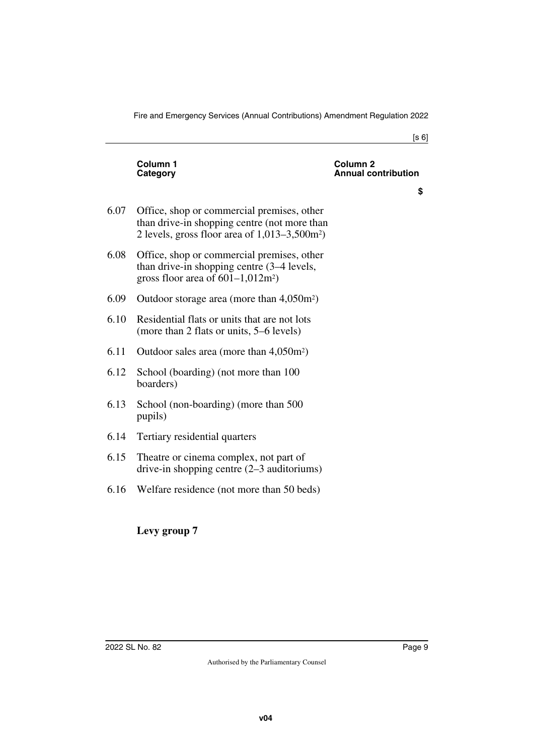|      | Column 1<br>Category                                                                                                                           | Column <sub>2</sub><br><b>Annual contribution</b> |
|------|------------------------------------------------------------------------------------------------------------------------------------------------|---------------------------------------------------|
|      |                                                                                                                                                | \$                                                |
| 6.07 | Office, shop or commercial premises, other<br>than drive-in shopping centre (not more than<br>2 levels, gross floor area of $1,013-3,500m^2$ ) |                                                   |
| 6.08 | Office, shop or commercial premises, other<br>than drive-in shopping centre (3–4 levels,<br>gross floor area of $601-1,012m^2$ )               |                                                   |
| 6.09 | Outdoor storage area (more than 4,050m <sup>2</sup> )                                                                                          |                                                   |
| 6.10 | Residential flats or units that are not lots<br>(more than 2 flats or units, 5–6 levels)                                                       |                                                   |
| 6.11 | Outdoor sales area (more than $4,050m^2$ )                                                                                                     |                                                   |
| 6.12 | School (boarding) (not more than 100<br>boarders)                                                                                              |                                                   |
| 6.13 | School (non-boarding) (more than 500<br>pupils)                                                                                                |                                                   |
| 6.14 | Tertiary residential quarters                                                                                                                  |                                                   |
| 6.15 | Theatre or cinema complex, not part of<br>drive-in shopping centre $(2-3)$ auditoriums)                                                        |                                                   |
| 6.16 | Welfare residence (not more than 50 beds)                                                                                                      |                                                   |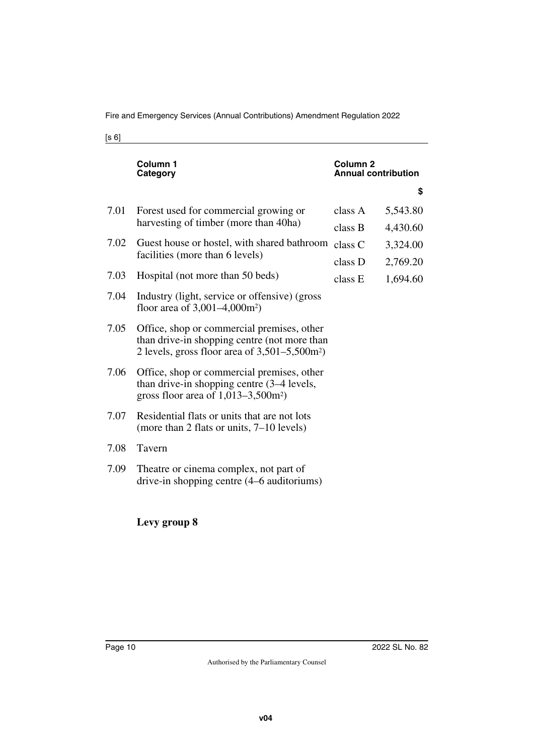|      | Column 1<br>Category                                                                                                                                       | Column <sub>2</sub><br><b>Annual contribution</b> |          |
|------|------------------------------------------------------------------------------------------------------------------------------------------------------------|---------------------------------------------------|----------|
|      |                                                                                                                                                            |                                                   | \$       |
| 7.01 | Forest used for commercial growing or                                                                                                                      | class A                                           | 5,543.80 |
|      | harvesting of timber (more than 40ha)                                                                                                                      | class B                                           | 4,430.60 |
| 7.02 | Guest house or hostel, with shared bathroom                                                                                                                | class C                                           | 3,324.00 |
|      | facilities (more than 6 levels)                                                                                                                            | class D                                           | 2,769.20 |
| 7.03 | Hospital (not more than 50 beds)                                                                                                                           | class E                                           | 1,694.60 |
| 7.04 | Industry (light, service or offensive) (gross)<br>floor area of $3,001-4,000m^2$ )                                                                         |                                                   |          |
| 7.05 | Office, shop or commercial premises, other<br>than drive-in shopping centre (not more than<br>2 levels, gross floor area of $3,501-5,500$ m <sup>2</sup> ) |                                                   |          |
| 7.06 | Office, shop or commercial premises, other<br>than drive-in shopping centre (3–4 levels,<br>gross floor area of $1,013-3,500$ m <sup>2</sup> )             |                                                   |          |
| 7.07 | Residential flats or units that are not lots<br>(more than 2 flats or units, $7-10$ levels)                                                                |                                                   |          |
| 7.08 | Tavern                                                                                                                                                     |                                                   |          |
| 7.09 | Theatre or cinema complex, not part of<br>drive-in shopping centre (4–6 auditoriums)                                                                       |                                                   |          |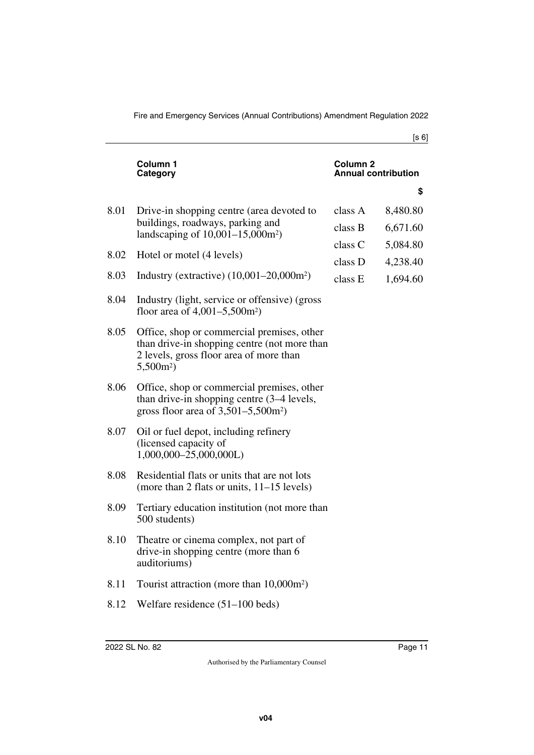|      | Column 1<br>Category                                                                                                                                | Column <sub>2</sub><br><b>Annual contribution</b> |          |
|------|-----------------------------------------------------------------------------------------------------------------------------------------------------|---------------------------------------------------|----------|
|      |                                                                                                                                                     |                                                   | \$       |
| 8.01 | Drive-in shopping centre (area devoted to                                                                                                           | class A                                           | 8,480.80 |
|      | buildings, roadways, parking and<br>landscaping of $10,001-15,000m^2$ )                                                                             | class B                                           | 6,671.60 |
|      |                                                                                                                                                     | class C                                           | 5,084.80 |
| 8.02 | Hotel or motel (4 levels)                                                                                                                           | class D                                           | 4,238.40 |
| 8.03 | Industry (extractive) (10,001-20,000m <sup>2</sup> )                                                                                                | class E                                           | 1,694.60 |
| 8.04 | Industry (light, service or offensive) (gross)<br>floor area of $4,001-5,500m^2$ )                                                                  |                                                   |          |
| 8.05 | Office, shop or commercial premises, other<br>than drive-in shopping centre (not more than<br>2 levels, gross floor area of more than<br>$5,500m^2$ |                                                   |          |
| 8.06 | Office, shop or commercial premises, other<br>than drive-in shopping centre (3–4 levels,<br>gross floor area of $3,501-5,500$ m <sup>2</sup> )      |                                                   |          |
| 8.07 | Oil or fuel depot, including refinery<br>(licensed capacity of<br>$1,000,000-25,000,000L$                                                           |                                                   |          |
| 8.08 | Residential flats or units that are not lots<br>(more than 2 flats or units, $11-15$ levels)                                                        |                                                   |          |
| 8.09 | Tertiary education institution (not more than<br>500 students)                                                                                      |                                                   |          |
| 8.10 | Theatre or cinema complex, not part of<br>drive-in shopping centre (more than 6<br>auditoriums)                                                     |                                                   |          |
| 8.11 | Tourist attraction (more than 10,000m <sup>2</sup> )                                                                                                |                                                   |          |
| 8.12 | Welfare residence $(51-100$ beds)                                                                                                                   |                                                   |          |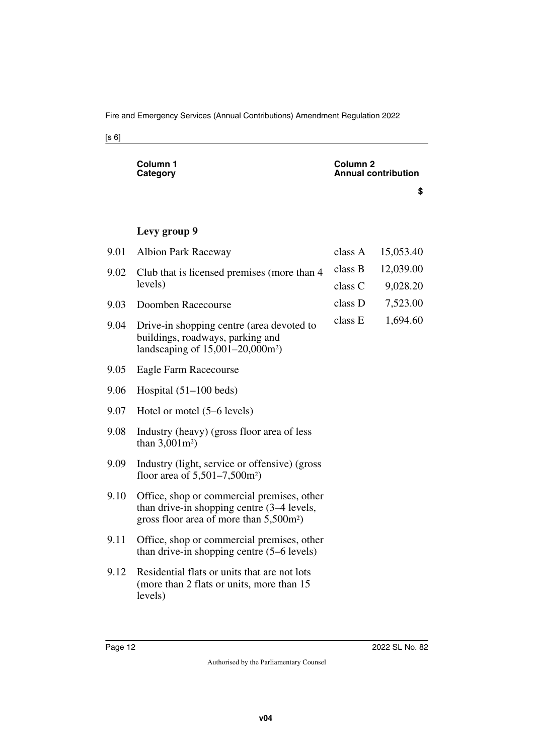|      | Column 1<br>Column 2<br><b>Annual contribution</b><br>Category                                                                                  |         |           |
|------|-------------------------------------------------------------------------------------------------------------------------------------------------|---------|-----------|
|      |                                                                                                                                                 |         | \$        |
|      |                                                                                                                                                 |         |           |
|      | Levy group 9                                                                                                                                    |         |           |
| 9.01 | <b>Albion Park Raceway</b>                                                                                                                      | class A | 15,053.40 |
| 9.02 | Club that is licensed premises (more than 4)                                                                                                    | class B | 12,039.00 |
|      | levels)                                                                                                                                         | class C | 9,028.20  |
| 9.03 | Doomben Racecourse                                                                                                                              | class D | 7,523.00  |
| 9.04 | Drive-in shopping centre (area devoted to<br>buildings, roadways, parking and<br>landscaping of $15,001-20,000$ m <sup>2</sup> )                | class E | 1,694.60  |
| 9.05 | Eagle Farm Racecourse                                                                                                                           |         |           |
| 9.06 | Hospital $(51-100$ beds)                                                                                                                        |         |           |
| 9.07 | Hotel or motel (5–6 levels)                                                                                                                     |         |           |
| 9.08 | Industry (heavy) (gross floor area of less<br>than $3,001m^2$ )                                                                                 |         |           |
| 9.09 | Industry (light, service or offensive) (gross<br>floor area of $5{,}501{-}7{,}500$ m <sup>2</sup> )                                             |         |           |
| 9.10 | Office, shop or commercial premises, other<br>than drive-in shopping centre (3–4 levels,<br>gross floor area of more than 5,500m <sup>2</sup> ) |         |           |
| 9.11 | Office, shop or commercial premises, other<br>than drive-in shopping centre (5–6 levels)                                                        |         |           |
| 9.12 | Residential flats or units that are not lots<br>(more than 2 flats or units, more than 15)<br>levels)                                           |         |           |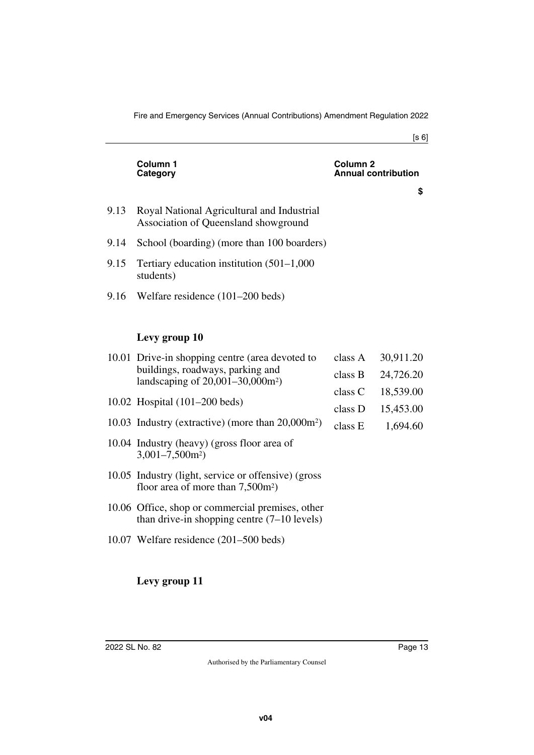|      | Column 1<br>Category                                                               | Column 2<br><b>Annual contribution</b> |
|------|------------------------------------------------------------------------------------|----------------------------------------|
|      |                                                                                    | \$                                     |
| 9.13 | Royal National Agricultural and Industrial<br>Association of Queensland showground |                                        |
| 9.14 | School (boarding) (more than 100 boarders)                                         |                                        |
| 9.15 | Tertiary education institution $(501-1,000)$<br>students)                          |                                        |
|      | 9.16 Welfare residence (101–200 beds)                                              |                                        |
|      |                                                                                    |                                        |
|      | Levy group 10                                                                      |                                        |

| 10.01 Drive-in shopping centre (area devoted to<br>buildings, roadways, parking and<br>landscaping of $20,001-30,000m^2$ ) | class A | 30,911.20 |
|----------------------------------------------------------------------------------------------------------------------------|---------|-----------|
|                                                                                                                            | class B | 24,726.20 |
|                                                                                                                            | class C | 18,539.00 |
| 10.02 Hospital $(101–200$ beds)                                                                                            | class D | 15,453.00 |
| 10.03 Industry (extractive) (more than 20,000m <sup>2</sup> )                                                              | class E | 1,694.60  |
| 10.04 Industry (heavy) (gross floor area of<br>$3,001 - 7,500$ m <sup>2</sup> )                                            |         |           |
| 10.05 Industry (light, service or offensive) (gross<br>floor area of more than $7,500m^2$ )                                |         |           |
| 10.06 Office, shop or commercial premises, other<br>than drive-in shopping centre $(7-10$ levels)                          |         |           |
| 10.07 Welfare residence $(201-500$ beds)                                                                                   |         |           |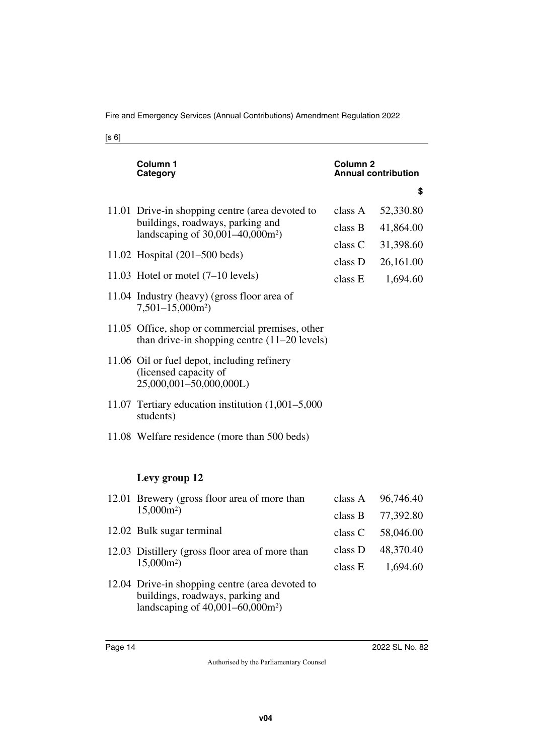| Column 1<br>Category                                                                                                                   | Column 2<br><b>Annual contribution</b> |                                                  |
|----------------------------------------------------------------------------------------------------------------------------------------|----------------------------------------|--------------------------------------------------|
|                                                                                                                                        |                                        | \$                                               |
| 11.01 Drive-in shopping centre (area devoted to<br>buildings, roadways, parking and<br>landscaping of $30,001-40,000$ m <sup>2</sup> ) | class A<br>class B                     | 52,330.80<br>41,864.00<br>31,398.60<br>26,161.00 |
| 11.02 Hospital $(201–500$ beds)                                                                                                        | class C<br>class D                     |                                                  |
| 11.03 Hotel or motel (7-10 levels)                                                                                                     | class E                                | 1,694.60                                         |
| 11.04 Industry (heavy) (gross floor area of<br>$7,501-15,000m^2$                                                                       |                                        |                                                  |
| 11.05 Office, shop or commercial premises, other<br>than drive-in shopping centre $(11-20$ levels)                                     |                                        |                                                  |
| 11.06 Oil or fuel depot, including refinery<br>(licensed capacity of<br>25,000,001-50,000,000L)                                        |                                        |                                                  |
| 11.07 Tertiary education institution (1,001–5,000<br>students)                                                                         |                                        |                                                  |
| 11.08 Welfare residence (more than 500 beds)                                                                                           |                                        |                                                  |
| Levy group 12                                                                                                                          |                                        |                                                  |
| 12.01 Brewery (gross floor area of more than<br>$15,000m^2$                                                                            | class A<br>class B                     | 96,746.40<br>77,392.80                           |
| 12.02 Bulk sugar terminal                                                                                                              | class C                                | 58,046.00                                        |
| 12.03 Distillery (gross floor area of more than<br>$15,000m^2$                                                                         | class D<br>class E                     | 48,370.40<br>1,694.60                            |
|                                                                                                                                        |                                        |                                                  |

12.04 Drive-in shopping centre (area devoted to buildings, roadways, parking and landscaping of 40,001–60,000m2)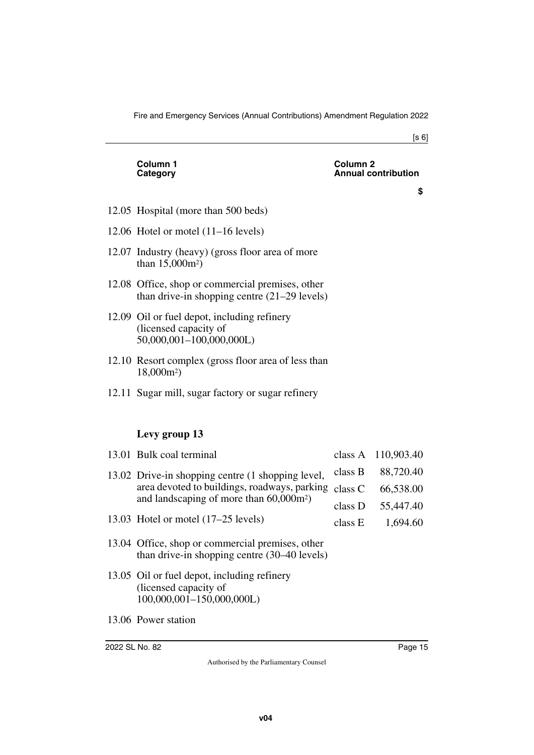#### **Column 1 Category**

#### **Column 2 Annual contribution**

**\$**

- 12.05 Hospital (more than 500 beds)
- 12.06 Hotel or motel (11–16 levels)
- 12.07 Industry (heavy) (gross floor area of more than 15,000m2)
- 12.08 Office, shop or commercial premises, other than drive-in shopping centre (21–29 levels)
- 12.09 Oil or fuel depot, including refinery (licensed capacity of 50,000,001–100,000,000L)
- 12.10 Resort complex (gross floor area of less than 18,000m2)
- 12.11 Sugar mill, sugar factory or sugar refinery

### **Levy group 13**

| 13.01 Bulk coal terminal                                                                                                                                    |         | class A 110,903.40 |
|-------------------------------------------------------------------------------------------------------------------------------------------------------------|---------|--------------------|
| 13.02 Drive-in shopping centre (1 shopping level,<br>area devoted to buildings, roadways, parking<br>and landscaping of more than $60,000$ m <sup>2</sup> ) | class B | 88,720.40          |
|                                                                                                                                                             | class C | 66,538.00          |
|                                                                                                                                                             | class D | 55,447.40          |
| 13.03 Hotel or motel (17–25 levels)                                                                                                                         | class E | 1,694.60           |
| 13.04 Office, shop or commercial premises, other<br>than drive-in shopping centre (30–40 levels)                                                            |         |                    |
| 13.05 Oil or fuel depot, including refinery<br>(licensed capacity of<br>$100,000,001-150,000,000L$                                                          |         |                    |

13.06 Power station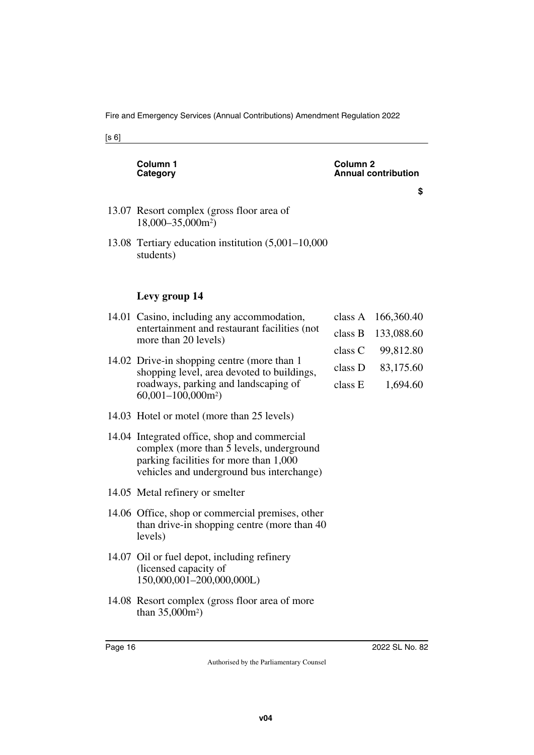| Column 1<br>Category                                                                                                                                                            | Column 2<br>Annual contribution                     |                                                                |
|---------------------------------------------------------------------------------------------------------------------------------------------------------------------------------|-----------------------------------------------------|----------------------------------------------------------------|
|                                                                                                                                                                                 |                                                     | \$                                                             |
| 13.07 Resort complex (gross floor area of<br>18,000-35,000m <sup>2</sup> )                                                                                                      |                                                     |                                                                |
| 13.08 Tertiary education institution (5,001–10,000<br>students)                                                                                                                 |                                                     |                                                                |
| Levy group 14                                                                                                                                                                   |                                                     |                                                                |
| 14.01 Casino, including any accommodation,<br>entertainment and restaurant facilities (not<br>more than 20 levels)                                                              | class A<br>class B<br>class C<br>class D<br>class E | 166,360.40<br>133,088.60<br>99,812.80<br>83,175.60<br>1,694.60 |
| 14.02 Drive-in shopping centre (more than 1<br>shopping level, area devoted to buildings,<br>roadways, parking and landscaping of<br>$60,001-100,000m^2$                        |                                                     |                                                                |
| 14.03 Hotel or motel (more than 25 levels)                                                                                                                                      |                                                     |                                                                |
| 14.04 Integrated office, shop and commercial<br>complex (more than 5 levels, underground<br>parking facilities for more than 1,000<br>vehicles and underground bus interchange) |                                                     |                                                                |
| 14.05 Metal refinery or smelter                                                                                                                                                 |                                                     |                                                                |
| 14.06 Office, shop or commercial premises, other<br>than drive-in shopping centre (more than 40)<br>levels)                                                                     |                                                     |                                                                |
| 14.07 Oil or fuel depot, including refinery<br>(licensed capacity of<br>150,000,001-200,000,000L)                                                                               |                                                     |                                                                |
| 14.08 Resort complex (gross floor area of more<br>than $35,000m^2$ )                                                                                                            |                                                     |                                                                |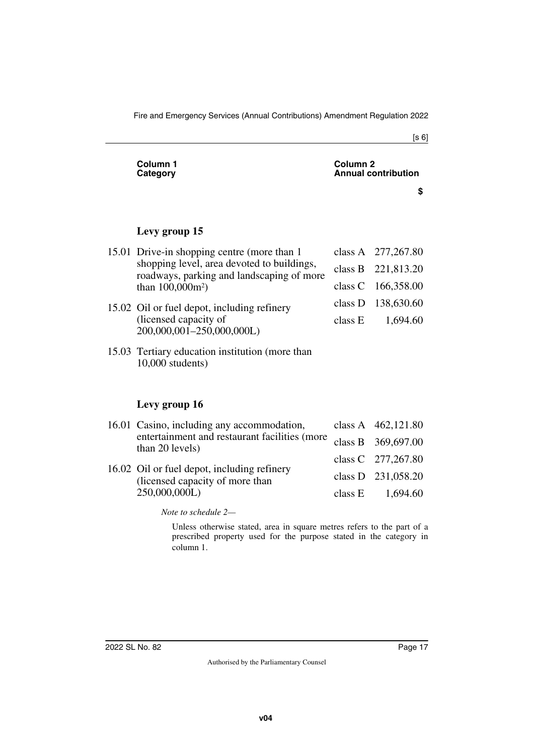| Column <sub>1</sub><br>Category                                                                                                                               | Column <sub>2</sub><br><b>Annual contribution</b> |                    |
|---------------------------------------------------------------------------------------------------------------------------------------------------------------|---------------------------------------------------|--------------------|
|                                                                                                                                                               |                                                   | \$                 |
|                                                                                                                                                               |                                                   |                    |
| Levy group 15                                                                                                                                                 |                                                   |                    |
| 15.01 Drive-in shopping centre (more than 1<br>shopping level, area devoted to buildings,<br>roadways, parking and landscaping of more<br>than $100,000m^2$ ) |                                                   | class A 277,267.80 |
|                                                                                                                                                               |                                                   | class B 221,813.20 |
|                                                                                                                                                               | class C                                           | 166,358.00         |
| 15.02 Oil or fuel depot, including refinery<br>(licensed capacity of<br>200,000,001-250,000,000L)                                                             | class D                                           | 138,630.60         |
|                                                                                                                                                               | class E                                           | 1,694.60           |
| 15.03 Tertiary education institution (more than<br>$10,000$ students)                                                                                         |                                                   |                    |
|                                                                                                                                                               |                                                   |                    |
| Levy group 16                                                                                                                                                 |                                                   |                    |
| 16.01 Casino, including any accommodation,<br>entertainment and restaurant facilities (more<br>$\bigcap_{\alpha=1}$ $\bigcap_{\alpha=1}$                      |                                                   | class A 462,121.80 |
|                                                                                                                                                               | class B                                           | 369,697.00         |

- 16.01 Casino, including any accommodation, entertainment and restaurant facilities (more class B
- class C class D class E 277,267.80 231,058.20 1,694.60 16.02 Oil or fuel depot, including refinery (licensed capacity of more than 250,000,000L)

*Note to schedule 2—*

than 20 levels)

Unless otherwise stated, area in square metres refers to the part of a prescribed property used for the purpose stated in the category in column 1.